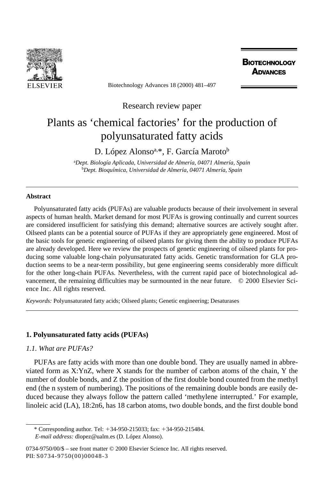

Biotechnology Advances 18 (2000) 481–497

**BIOTECHNOLOGY ADVANCES** 

Research review paper

# Plants as 'chemical factories' for the production of polyunsaturated fatty acids

D. López Alonso<sup>a,\*</sup>, F. García Maroto<sup>b</sup>

a *Dept. Biología Aplicada, Universidad de Almería, 04071 Almería, Spain* b *Dept. Bioquímica, Universidad de Almería, 04071 Almería, Spain*

## **Abstract**

Polyunsaturated fatty acids (PUFAs) are valuable products because of their involvement in several aspects of human health. Market demand for most PUFAs is growing continually and current sources are considered insufficient for satisfying this demand; alternative sources are actively sought after. Oilseed plants can be a potential source of PUFAs if they are appropriately gene engineered. Most of the basic tools for genetic engineering of oilseed plants for giving them the ability to produce PUFAs are already developed. Here we review the prospects of genetic engineering of oilseed plants for producing some valuable long-chain polyunsaturated fatty acids. Genetic transformation for GLA production seems to be a near-term possibility, but gene engineering seems considerably more difficult for the other long-chain PUFAs. Nevertheless, with the current rapid pace of biotechnological advancement, the remaining difficulties may be surmounted in the near future. © 2000 Elsevier Science Inc. All rights reserved.

*Keywords:* Polyunsaturated fatty acids; Oilseed plants; Genetic engineering; Desaturases

# **1. Polyunsaturated fatty acids (PUFAs)**

# *1.1. What are PUFAs?*

PUFAs are fatty acids with more than one double bond. They are usually named in abbreviated form as X:YnZ, where X stands for the number of carbon atoms of the chain, Y the number of double bonds, and Z the position of the first double bond counted from the methyl end (the n system of numbering). The positions of the remaining double bonds are easily deduced because they always follow the pattern called 'methylene interrupted.' For example, linoleic acid (LA), 18:2n6, has 18 carbon atoms, two double bonds, and the first double bond

<sup>\*</sup> Corresponding author. Tel:  $+34-950-215033$ ; fax:  $+34-950-215484$ . *E-mail address:* dlopez@ualm.es (D. López Alonso).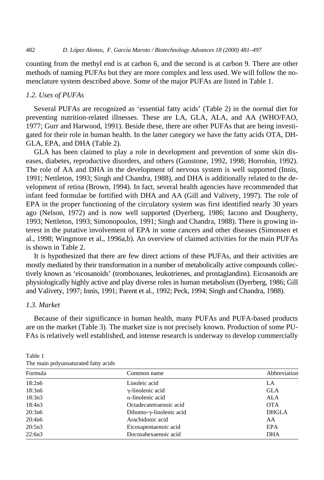counting from the methyl end is at carbon 6, and the second is at carbon 9. There are other methods of naming PUFAs but they are more complex and less used. We will follow the nomenclature system described above. Some of the major PUFAs are listed in Table 1.

## *1.2. Uses of PUFAs*

Several PUFAs are recognized as 'essential fatty acids' (Table 2) in the normal diet for preventing nutrition-related illnesses. These are LA, GLA, ALA, and AA (WHO/FAO, 1977; Gurr and Harwood, 1991). Beside these, there are other PUFAs that are being investigated for their role in human health. In the latter category we have the fatty acids OTA, DH-GLA, EPA, and DHA (Table 2).

GLA has been claimed to play a role in development and prevention of some skin diseases, diabetes, reproductive disorders, and others (Gunstone, 1992, 1998; Horrobin, 1992). The role of AA and DHA in the development of nervous system is well supported (Innis, 1991; Nettleton, 1993; Singh and Chandra, 1988), and DHA is additionally related to the development of retina (Brown, 1994). In fact, several health agencies have recommended that infant feed formulae be fortified with DHA and AA (Gill and Valivety, 1997). The role of EPA in the proper functioning of the circulatory system was first identified nearly 30 years ago (Nelson, 1972) and is now well supported (Dyerberg, 1986; Iacono and Dougherty, 1993; Nettleton, 1993; Simonopoulos, 1991; Singh and Chandra, 1988). There is growing interest in the putative involvement of EPA in some cancers and other diseases (Simonsen et al., 1998; Wingmore et al., 1996a,b). An overview of claimed activities for the main PUFAs is shown in Table 2.

It is hypothesized that there are few direct actions of these PUFAs, and their activities are mostly mediated by their transformation in a number of metabolically active compounds collectively known as 'eicosanoids' (tromboxanes, leukotrienes, and prostaglandins). Eicosanoids are physiologically highly active and play diverse roles in human metabolism (Dyerberg, 1986; Gill and Valivety, 1997; Innis, 1991; Parent et al., 1992; Peck, 1994; Singh and Chandra, 1988).

# *1.3. Market*

Because of their significance in human health, many PUFAs and PUFA-based products are on the market (Table 3). The market size is not precisely known. Production of some PU-FAs is relatively well established, and intense research is underway to develop commercially

| Formula | Common name                      | Abbreviation |
|---------|----------------------------------|--------------|
| 18:2n6  | Linoleic acid                    | LA           |
| 18:3n6  | $\gamma$ -linolenic acid         | <b>GLA</b>   |
| 18:3n3  | $\alpha$ -linolenic acid         | ALA          |
| 18:4n3  | Octadecatetraenoic acid          | <b>OTA</b>   |
| 20:3n6  | Dihomo- $\gamma$ -linolenic acid | <b>DHGLA</b> |
| 20:4n6  | Arachidonic acid                 | AA           |
| 20:5n3  | Eicosapentaenoic acid            | EPA          |
| 22:6n3  | Docosahexaenoic acid             | DHA          |

Table 1 The main polyunsaturated fatty acids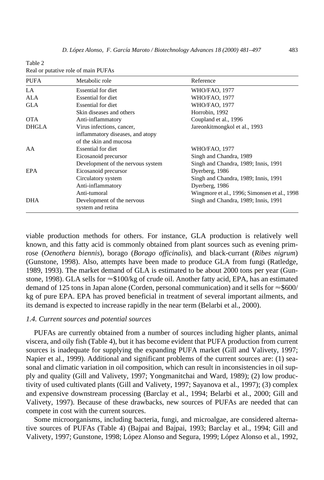| Table 2                             |  |
|-------------------------------------|--|
| Real or putative role of main PUFAs |  |

| <b>PUFA</b>  | Metabolic role                    | Reference                                    |
|--------------|-----------------------------------|----------------------------------------------|
| LA.          | Essential for diet                | WHO/FAO, 1977                                |
| ALA          | <b>Essential for diet</b>         | WHO/FAO, 1977                                |
| <b>GLA</b>   | Essential for diet                | <b>WHO/FAO, 1977</b>                         |
|              | Skin diseases and others          | Horrobin, 1992                               |
| <b>OTA</b>   | Anti-inflammatory                 | Coupland et al., 1996                        |
| <b>DHGLA</b> | Virus infections, cancer,         | Jareonkitmongkol et al., 1993                |
|              | inflammatory diseases, and atopy  |                                              |
|              | of the skin and mucosa            |                                              |
| AA           | Essential for diet                | WHO/FAO, 1977                                |
|              | Eicosanoid precursor              | Singh and Chandra, 1989                      |
|              | Development of the nervous system | Singh and Chandra, 1989; Innis, 1991         |
| EPA          | Eicosanoid precursor              | Dyerberg, 1986                               |
|              | Circulatory system                | Singh and Chandra, 1989; Innis, 1991         |
|              | Anti-inflammatory                 | Dyerberg, 1986                               |
|              | Anti-tumoral                      | Wingmore et al., 1996; Simonsen et al., 1998 |
| <b>DHA</b>   | Development of the nervous        | Singh and Chandra, 1989; Innis, 1991         |
|              | system and retina                 |                                              |

viable production methods for others. For instance, GLA production is relatively well known, and this fatty acid is commonly obtained from plant sources such as evening primrose (*Oenothera biennis*), borago (*Borago officinalis*), and black-currant (*Ribes nigrum*) (Gunstone, 1998). Also, attempts have been made to produce GLA from fungi (Ratledge, 1989, 1993). The market demand of GLA is estimated to be about 2000 tons per year (Gunstone, 1998). GLA sells for  $\approx$ \$100/kg of crude oil. Another fatty acid, EPA, has an estimated demand of 125 tons in Japan alone (Corden, personal communication) and it sells for  $\approx$ \$600/ kg of pure EPA. EPA has proved beneficial in treatment of several important ailments, and its demand is expected to increase rapidly in the near term (Belarbi et al., 2000).

## *1.4. Current sources and potential sources*

PUFAs are currently obtained from a number of sources including higher plants, animal viscera, and oily fish (Table 4), but it has become evident that PUFA production from current sources is inadequate for supplying the expanding PUFA market (Gill and Valivety, 1997; Napier et al., 1999). Additional and significant problems of the current sources are: (1) seasonal and climatic variation in oil composition, which can result in inconsistencies in oil supply and quality (Gill and Valivety, 1997; Yongmanitchai and Ward, 1989); (2) low productivity of used cultivated plants (Gill and Valivety, 1997; Sayanova et al., 1997); (3) complex and expensive downstream processing (Barclay et al., 1994; Belarbi et al., 2000; Gill and Valivety, 1997). Because of these drawbacks, new sources of PUFAs are needed that can compete in cost with the current sources.

Some microorganisms, including bacteria, fungi, and microalgae, are considered alternative sources of PUFAs (Table 4) (Bajpai and Bajpai, 1993; Barclay et al., 1994; Gill and Valivety, 1997; Gunstone, 1998; López Alonso and Segura, 1999; López Alonso et al., 1992,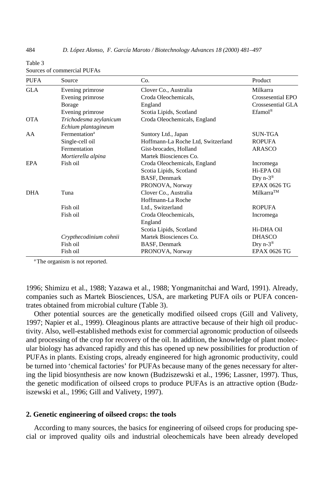| <b>PUFA</b> | Source                                        | Co.                                | Product               |
|-------------|-----------------------------------------------|------------------------------------|-----------------------|
| <b>GLA</b>  | Evening primrose                              | Clover Co., Australia              | Milkarra              |
|             | Evening primrose                              | Croda Oleochemicals,               | Crossesential EPO     |
|             | <b>B</b> orage                                | England                            | Crossesential GLA     |
|             | Evening primrose                              | Scotia Lipids, Scotland            | Efamol <sup>®</sup>   |
| <b>OTA</b>  | Trichodesma zeylanicum<br>Echium plantagineum | Croda Oleochemicals, England       |                       |
| AA          | Fermentation <sup>a</sup>                     | Suntory Ltd., Japan                | <b>SUN-TGA</b>        |
|             | Single-cell oil                               | Hoffmann-La Roche Ltd, Switzerland | <b>ROPUFA</b>         |
|             | Fermentation                                  | Gist-brocades, Holland             | ARASCO                |
|             | Mortierella alpina                            | Martek Biosciences Co.             |                       |
| EPA         | Fish oil                                      | Croda Oleochemicals, England       | Incromega             |
|             |                                               | Scotia Lipids, Scotland            | Hi-EPA Oil            |
|             |                                               | BASF, Denmark                      | Dry $n-3^{\circledR}$ |
|             |                                               | PRONOVA, Norway                    | <b>EPAX 0626 TG</b>   |
| <b>DHA</b>  | Tuna                                          | Clover Co., Australia              | Milkarra™             |
|             |                                               | Hoffmann-La Roche                  |                       |
|             | Fish oil                                      | Ltd., Switzerland                  | <b>ROPUFA</b>         |
|             | Fish oil                                      | Croda Oleochemicals,               | Incromega             |
|             |                                               | England                            |                       |
|             |                                               | Scotia Lipids, Scotland            | Hi-DHA Oil            |
|             | Crypthecodinium cohnii                        | Martek Biosciences Co.             | <b>DHASCO</b>         |
|             | Fish oil                                      | BASF, Denmark                      | Dry $n-3^{\circledR}$ |
|             | Fish oil                                      | PRONOVA, Norway                    | <b>EPAX 0626 TG</b>   |

#### Table 3 Sources of commercial PUFAs

<sup>a</sup> The organism is not reported.

1996; Shimizu et al., 1988; Yazawa et al., 1988; Yongmanitchai and Ward, 1991). Already, companies such as Martek Biosciences, USA, are marketing PUFA oils or PUFA concentrates obtained from microbial culture (Table 3).

Other potential sources are the genetically modified oilseed crops (Gill and Valivety, 1997; Napier et al., 1999). Oleaginous plants are attractive because of their high oil productivity. Also, well-established methods exist for commercial agronomic production of oilseeds and processing of the crop for recovery of the oil. In addition, the knowledge of plant molecular biology has advanced rapidly and this has opened up new possibilities for production of PUFAs in plants. Existing crops, already engineered for high agronomic productivity, could be turned into 'chemical factories' for PUFAs because many of the genes necessary for altering the lipid biosynthesis are now known (Budziszewski et al., 1996; Lassner, 1997). Thus, the genetic modification of oilseed crops to produce PUFAs is an attractive option (Budziszewski et al., 1996; Gill and Valivety, 1997).

# **2. Genetic engineering of oilseed crops: the tools**

According to many sources, the basics for engineering of oilseed crops for producing special or improved quality oils and industrial oleochemicals have been already developed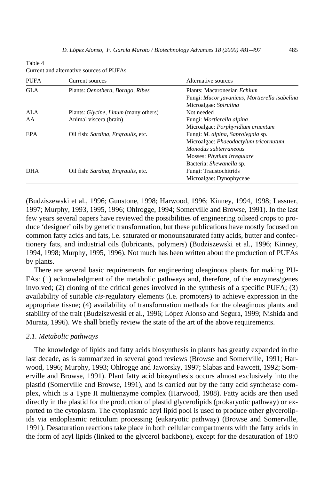#### Table 4 Current and alternative sources of PUFAs

| <b>PUFA</b> | Current sources                                     | Alternative sources                           |
|-------------|-----------------------------------------------------|-----------------------------------------------|
| <b>GLA</b>  | Plants: Oenothera, Borago, Ribes                    | Plants: Macaronesian <i>Echium</i>            |
|             |                                                     | Fungi: Mucor javanicus, Mortierella isabelina |
|             |                                                     | Microalgae: Spirulina                         |
| ALA         | Plants: <i>Glycine</i> , <i>Linum</i> (many others) | Not needed                                    |
| AA          | Animal viscera (brain)                              | Fungi: Mortierella alpina                     |
|             |                                                     | Microalgae: Porphyridium cruentum             |
| EPA         | Oil fish: Sardina, Engraulis, etc.                  | Fungi: <i>M. alpina, Saprolegnia</i> sp.      |
|             |                                                     | Microalgae: Phaeodactylum tricornutum,        |
|             |                                                     | Monodus subterraneous                         |
|             |                                                     | Mosses: <i>Phytium irregulare</i>             |
|             |                                                     | Bacteria: Shewanella sp.                      |
| <b>DHA</b>  | Oil fish: Sardina, Engraulis, etc.                  | Fungi: Traustochitrids                        |
|             |                                                     | Microalgae: Dynophyceae                       |

(Budziszewski et al., 1996; Gunstone, 1998; Harwood, 1996; Kinney, 1994, 1998; Lassner, 1997; Murphy, 1993, 1995, 1996; Ohlrogge, 1994; Somerville and Browse, 1991). In the last few years several papers have reviewed the possibilities of engineering oilseed crops to produce 'designer' oils by genetic transformation, but these publications have mostly focused on common fatty acids and fats, i.e. saturated or monounsaturated fatty acids, butter and confectionery fats, and industrial oils (lubricants, polymers) (Budziszewski et al., 1996; Kinney, 1994, 1998; Murphy, 1995, 1996). Not much has been written about the production of PUFAs by plants.

There are several basic requirements for engineering oleaginous plants for making PU-FAs: (1) acknowledgment of the metabolic pathways and, therefore, of the enzymes/genes involved; (2) cloning of the critical genes involved in the synthesis of a specific PUFA; (3) availability of suitable *cis*-regulatory elements (i.e. promoters) to achieve expression in the appropriate tissue; (4) availability of transformation methods for the oleaginous plants and stability of the trait (Budziszweski et al., 1996; López Alonso and Segura, 1999; Nishida and Murata, 1996). We shall briefly review the state of the art of the above requirements.

### *2.1. Metabolic pathways*

The knowledge of lipids and fatty acids biosynthesis in plants has greatly expanded in the last decade, as is summarized in several good reviews (Browse and Somerville, 1991; Harwood, 1996; Murphy, 1993; Ohlrogge and Jaworsky, 1997; Slabas and Fawcett, 1992; Somerville and Browse, 1991). Plant fatty acid biosynthesis occurs almost exclusively into the plastid (Somerville and Browse, 1991), and is carried out by the fatty acid synthetase complex, which is a Type II multienzyme complex (Harwood, 1988). Fatty acids are then used directly in the plastid for the production of plastid glycerolipids (prokaryotic pathway) or exported to the cytoplasm. The cytoplasmic acyl lipid pool is used to produce other glycerolipids via endoplasmic reticulum processing (eukaryotic pathway) (Browse and Somerville, 1991). Desaturation reactions take place in both cellular compartments with the fatty acids in the form of acyl lipids (linked to the glycerol backbone), except for the desaturation of 18:0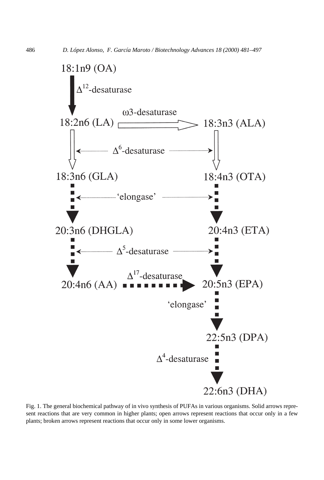

Fig. 1. The general biochemical pathway of in vivo synthesis of PUFAs in various organisms. Solid arrows represent reactions that are very common in higher plants; open arrows represent reactions that occur only in a few plants; broken arrows represent reactions that occur only in some lower organisms.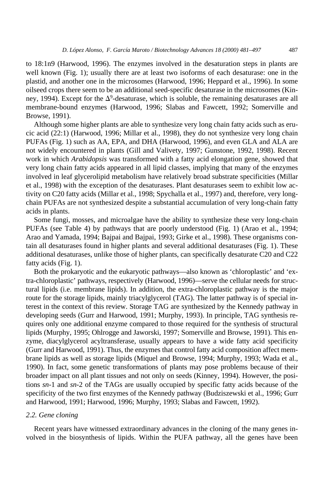to 18:1n9 (Harwood, 1996). The enzymes involved in the desaturation steps in plants are well known (Fig. 1); usually there are at least two isoforms of each desaturase: one in the plastid, and another one in the microsomes (Harwood, 1996; Heppard et al., 1996). In some oilseed crops there seem to be an additional seed-specific desaturase in the microsomes (Kinney, 1994). Except for the  $\Delta^9$ -desaturase, which is soluble, the remaining desaturases are all membrane-bound enzymes (Harwood, 1996; Slabas and Fawcett, 1992; Somerville and Browse, 1991).

Although some higher plants are able to synthesize very long chain fatty acids such as erucic acid (22:1) (Harwood, 1996; Millar et al., 1998), they do not synthesize very long chain PUFAs (Fig. 1) such as AA, EPA, and DHA (Harwood, 1996), and even GLA and ALA are not widely encountered in plants (Gill and Valivety, 1997; Gunstone, 1992, 1998). Recent work in which *Arabidopsis* was transformed with a fatty acid elongation gene, showed that very long chain fatty acids appeared in all lipid classes, implying that many of the enzymes involved in leaf glycerolipid metabolism have relatively broad substrate specificities (Millar et al., 1998) with the exception of the desaturases. Plant desaturases seem to exhibit low activity on C20 fatty acids (Millar et al., 1998; Spychalla et al., 1997) and, therefore, very longchain PUFAs are not synthesized despite a substantial accumulation of very long-chain fatty acids in plants.

Some fungi, mosses, and microalgae have the ability to synthesize these very long-chain PUFAs (see Table 4) by pathways that are poorly understood (Fig. 1) (Arao et al., 1994; Arao and Yamada, 1994; Bajpai and Bajpai, 1993; Girke et al., 1998). These organisms contain all desaturases found in higher plants and several additional desaturases (Fig. 1). These additional desaturases, unlike those of higher plants, can specifically desaturate C20 and C22 fatty acids (Fig. 1).

Both the prokaryotic and the eukaryotic pathways—also known as 'chloroplastic' and 'extra-chloroplastic' pathways, respectively (Harwood, 1996)—serve the cellular needs for structural lipids (i.e. membrane lipids). In addition, the extra-chloroplastic pathway is the major route for the storage lipids, mainly triacylglycerol (TAG). The latter pathway is of special interest in the context of this review. Storage TAG are synthesized by the Kennedy pathway in developing seeds (Gurr and Harwood, 1991; Murphy, 1993). In principle, TAG synthesis requires only one additional enzyme compared to those required for the synthesis of structural lipids (Murphy, 1995; Ohlrogge and Jaworski, 1997; Somerville and Browse, 1991). This enzyme, diacylglycerol acyltransferase, usually appears to have a wide fatty acid specificity (Gurr and Harwood, 1991). Thus, the enzymes that control fatty acid composition affect membrane lipids as well as storage lipids (Miquel and Browse, 1994; Murphy, 1993; Wada et al., 1990). In fact, some genetic transformations of plants may pose problems because of their broader impact on all plant tissues and not only on seeds (Kinney, 1994). However, the positions *sn*-1 and *sn*-2 of the TAGs are usually occupied by specific fatty acids because of the specificity of the two first enzymes of the Kennedy pathway (Budziszewski et al., 1996; Gurr and Harwood, 1991; Harwood, 1996; Murphy, 1993; Slabas and Fawcett, 1992).

# *2.2. Gene cloning*

Recent years have witnessed extraordinary advances in the cloning of the many genes involved in the biosynthesis of lipids. Within the PUFA pathway, all the genes have been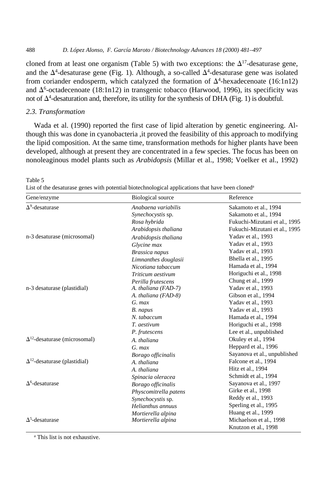cloned from at least one organism (Table 5) with two exceptions: the  $\Delta^{17}$ -desaturase gene, and the  $\Delta^4$ -desaturase gene (Fig. 1). Although, a so-called  $\Delta^4$ -desaturase gene was isolated from coriander endosperm, which catalyzed the formation of  $\Delta^4$ -hexadecenoate (16:1n12) and  $\Delta^6$ -octadecenoate (18:1n12) in transgenic tobacco (Harwood, 1996), its specificity was not of  $\Delta^4$ -desaturation and, therefore, its utility for the synthesis of DHA (Fig. 1) is doubtful.

# *2.3. Transformation*

Table 5

Wada et al. (1990) reported the first case of lipid alteration by genetic engineering. Although this was done in cyanobacteria ,it proved the feasibility of this approach to modifying the lipid composition. At the same time, transformation methods for higher plants have been developed, although at present they are concentrated in a few species. The focus has been on nonoleaginous model plants such as *Arabidopsis* (Millar et al., 1998; Voelker et al., 1992)

| Gene/enzyme                            | <b>Biological</b> source | Reference                     |
|----------------------------------------|--------------------------|-------------------------------|
| $\Delta^9$ -desaturase                 | Anabaena variabilis      | Sakamoto et al., 1994         |
|                                        | Synechocystis sp.        | Sakamoto et al., 1994         |
|                                        | Rosa hybrida             | Fukuchi-Mizutani et al., 1995 |
|                                        | Arabidopsis thaliana     | Fukuchi-Mizutani et al., 1995 |
| n-3 desaturase (microsomal)            | Arabidopsis thaliana     | Yadav et al., 1993            |
|                                        | Glycine max              | Yadav et al., 1993            |
|                                        | Brassica napus           | Yadav et al., 1993            |
|                                        | Limnanthes douglasii     | Bhella et al., 1995           |
|                                        | Nicotiana tabaccum       | Hamada et al., 1994           |
|                                        | Triticum aestivum        | Horiguchi et al., 1998        |
|                                        | Perilla frutescens       | Chung et al., 1999            |
| n-3 desaturase (plastidial)            | A. thaliana (FAD-7)      | Yadav et al., 1993            |
|                                        | A. thaliana (FAD-8)      | Gibson et al., 1994           |
|                                        | $G.$ max                 | Yadav et al., 1993            |
|                                        | B. napus                 | Yadav et al., 1993            |
|                                        | N. tabaccum              | Hamada et al., 1994           |
|                                        | T. aestivum              | Horiguchi et al., 1998        |
|                                        | P. frutescens            | Lee et al., unpublished       |
| $\Delta^{12}$ -desaturase (microsomal) | A. thaliana              | Okuley et al., 1994           |
|                                        | $G.$ max                 | Heppard et al., 1996          |
|                                        | Borago officinalis       | Sayanova et al., unpublished  |
| $\Delta^{12}$ -desaturase (plastidial) | A. thaliana              | Falcone et al., 1994          |
|                                        | A. thaliana              | Hitz et al., 1994             |
|                                        | Spinacia oleracea        | Schmidt et al., 1994          |
| $\Delta^6$ -desaturase                 | Borago officinalis       | Sayanova et al., 1997         |
|                                        | Physcomitrella patens    | Girke et al., 1998            |
|                                        | Synechocystis sp.        | Reddy et al., 1993            |
|                                        | Helianthus annuus        | Sperling et al., 1995         |
|                                        | Mortierella alpina       | Huang et al., 1999            |
| $\Delta^5$ -desaturase                 | Mortierella alpina       | Michaelson et al., 1998       |
|                                        |                          | Knutzon et al., 1998          |

List of the desaturase genes with potential biotechnological applications that have been cloned<sup>a</sup>

a This list is not exhaustive.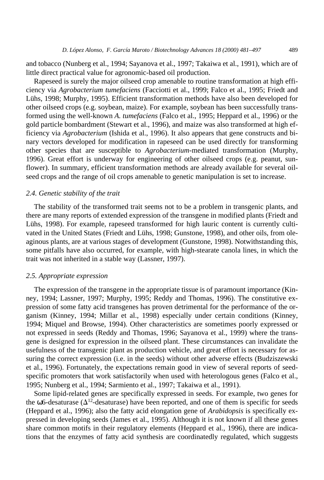and tobacco (Nunberg et al., 1994; Sayanova et al., 1997; Takaiwa et al., 1991), which are of little direct practical value for agronomic-based oil production.

Rapeseed is surely the major oilseed crop amenable to routine transformation at high efficiency via *Agrobacterium tumefaciens* (Facciotti et al., 1999; Falco et al., 1995; Friedt and Lühs, 1998; Murphy, 1995). Efficient transformation methods have also been developed for other oilseed crops (e.g. soybean, maize). For example, soybean has been successfully transformed using the well-known *A. tumefaciens* (Falco et al., 1995; Heppard et al., 1996) or the gold particle bombardment (Stewart et al., 1996), and maize was also transformed at high efficiency via *Agrobacterium* (Ishida et al., 1996). It also appears that gene constructs and binary vectors developed for modification in rapeseed can be used directly for transforming other species that are susceptible to *Agrobacterium*-mediated transformation (Murphy, 1996). Great effort is underway for engineering of other oilseed crops (e.g. peanut, sunflower). In summary, efficient transformation methods are already available for several oilseed crops and the range of oil crops amenable to genetic manipulation is set to increase.

#### *2.4. Genetic stability of the trait*

The stability of the transformed trait seems not to be a problem in transgenic plants, and there are many reports of extended expression of the transgene in modified plants (Friedt and Lühs, 1998). For example, rapeseed transformed for high lauric content is currently cultivated in the United States (Friedt and Lühs, 1998; Gunstone, 1998), and other oils, from oleaginous plants, are at various stages of development (Gunstone, 1998). Notwithstanding this, some pitfalls have also occurred, for example, with high-stearate canola lines, in which the trait was not inherited in a stable way (Lassner, 1997).

#### *2.5. Appropriate expression*

The expression of the transgene in the appropriate tissue is of paramount importance (Kinney, 1994; Lassner, 1997; Murphy, 1995; Reddy and Thomas, 1996). The constitutive expression of some fatty acid transgenes has proven detrimental for the performance of the organism (Kinney, 1994; Millar et al., 1998) especially under certain conditions (Kinney, 1994; Miquel and Browse, 1994). Other characteristics are sometimes poorly expressed or not expressed in seeds (Reddy and Thomas, 1996; Sayanova et al., 1999) where the transgene is designed for expression in the oilseed plant. These circumstances can invalidate the usefulness of the transgenic plant as production vehicle, and great effort is necessary for assuring the correct expression (i.e. in the seeds) without other adverse effects (Budziszewski et al., 1996). Fortunately, the expectations remain good in view of several reports of seedspecific promoters that work satisfactorily when used with heterologous genes (Falco et al., 1995; Nunberg et al., 1994; Sarmiento et al., 1997; Takaiwa et al., 1991).

Some lipid-related genes are specifically expressed in seeds. For example, two genes for the  $\omega$ 6-desaturase ( $\Delta^{12}$ -desaturase) have been reported, and one of them is specific for seeds (Heppard et al., 1996); also the fatty acid elongation gene of *Arabidopsis* is specifically expressed in developing seeds (James et al., 1995). Although it is not known if all these genes share common motifs in their regulatory elements (Heppard et al., 1996), there are indications that the enzymes of fatty acid synthesis are coordinatedly regulated, which suggests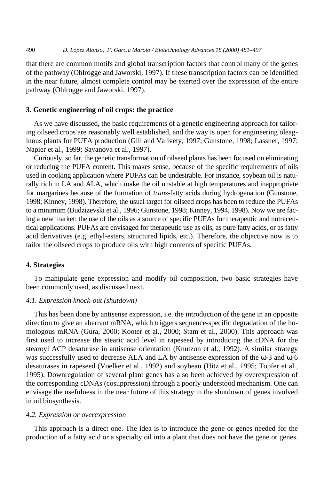that there are common motifs and global transcription factors that control many of the genes of the pathway (Ohlrogge and Jaworski, 1997). If these transcription factors can be identified in the near future, almost complete control may be exerted over the expression of the entire pathway (Ohlrogge and Jaworski, 1997).

## **3. Genetic engineering of oil crops: the practice**

As we have discussed, the basic requirements of a genetic engineering approach for tailoring oilseed crops are reasonably well established, and the way is open for engineering oleaginous plants for PUFA production (Gill and Valivety, 1997; Gunstone, 1998; Lassner, 1997; Napier et al., 1999; Sayanova et al., 1997).

Curiously, so far, the genetic transformation of oilseed plants has been focused on eliminating or reducing the PUFA content. This makes sense, because of the specific requirements of oils used in cooking application where PUFAs can be undesirable. For instance, soybean oil is naturally rich in LA and ALA, which make the oil unstable at high temperatures and inappropriate for margarines because of the formation of *trans-*fatty acids during hydrogenation (Gunstone, 1998; Kinney, 1998). Therefore, the usual target for oilseed crops has been to reduce the PUFAs to a minimum (Budzizevski et al., 1996; Gunstone, 1998; Kinney, 1994, 1998). Now we are facing a new market: the use of the oils as a source of specific PUFAs for therapeutic and nutraceutical applications. PUFAs are envisaged for therapeutic use as oils, as pure fatty acids, or as fatty acid derivatives (e.g. ethyl-esters, structured lipids, etc.). Therefore, the objective now is to tailor the oilseed crops to produce oils with high contents of specific PUFAs.

#### **4. Strategies**

To manipulate gene expression and modify oil composition, two basic strategies have been commonly used, as discussed next.

# *4.1. Expression knock-out (shutdown)*

This has been done by antisense expression, i.e. the introduction of the gene in an opposite direction to give an aberrant mRNA, which triggers sequence-specific degradation of the homologous mRNA (Gura, 2000; Kooter et al., 2000; Stam et al., 2000). This approach was first used to increase the stearic acid level in rapeseed by introducing the cDNA for the stearoyl ACP desaturase in antisense orientation (Knutzon et al., 1992). A similar strategy was successfully used to decrease ALA and LA by antisense expression of the  $\omega$ -3 and  $\omega$ -6 desaturases in rapeseed (Voelker et al., 1992) and soybean (Hitz et al., 1995; Topfer et al., 1995). Downregulation of several plant genes has also been achieved by overexpression of the corresponding cDNAs (cosuppression) through a poorly understood mechanism. One can envisage the usefulness in the near future of this strategy in the shutdown of genes involved in oil biosynthesis.

## *4.2. Expression or overexpression*

This approach is a direct one. The idea is to introduce the gene or genes needed for the production of a fatty acid or a specialty oil into a plant that does not have the gene or genes.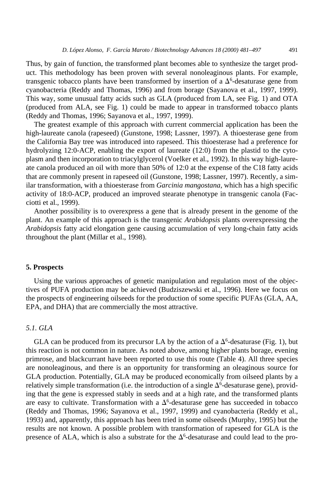Thus, by gain of function, the transformed plant becomes able to synthesize the target product. This methodology has been proven with several nonoleaginous plants. For example, transgenic tobacco plants have been transformed by insertion of a  $\Delta^6$ -desaturase gene from cyanobacteria (Reddy and Thomas, 1996) and from borage (Sayanova et al., 1997, 1999). This way, some unusual fatty acids such as GLA (produced from LA, see Fig. 1) and OTA (produced from ALA, see Fig. 1) could be made to appear in transformed tobacco plants (Reddy and Thomas, 1996; Sayanova et al., 1997, 1999).

The greatest example of this approach with current commercial application has been the high-laureate canola (rapeseed) (Gunstone, 1998; Lassner, 1997). A thioesterase gene from the California Bay tree was introduced into rapeseed. This thioesterase had a preference for hydrolyzing 12:0-ACP, enabling the export of laureate (12:0) from the plastid to the cytoplasm and then incorporation to triacylglycerol (Voelker et al., 1992). In this way high-laureate canola produced an oil with more than 50% of 12:0 at the expense of the C18 fatty acids that are commonly present in rapeseed oil (Gunstone, 1998; Lassner, 1997). Recently, a similar transformation, with a thioesterase from *Garcinia mangostana*, which has a high specific activity of 18:0-ACP, produced an improved stearate phenotype in transgenic canola (Facciotti et al., 1999).

Another possibility is to overexpress a gene that is already present in the genome of the plant. An example of this approach is the transgenic *Arabidopsis* plants overexpressing the *Arabidopsis* fatty acid elongation gene causing accumulation of very long-chain fatty acids throughout the plant (Millar et al., 1998).

#### **5. Prospects**

Using the various approaches of genetic manipulation and regulation most of the objectives of PUFA production may be achieved (Budziszewski et al., 1996). Here we focus on the prospects of engineering oilseeds for the production of some specific PUFAs (GLA, AA, EPA, and DHA) that are commercially the most attractive.

## *5.1. GLA*

GLA can be produced from its precursor LA by the action of a  $\Delta^6$ -desaturase (Fig. 1), but this reaction is not common in nature. As noted above, among higher plants borage, evening primrose, and blackcurrant have been reported to use this route (Table 4). All three species are nonoleaginous, and there is an opportunity for transforming an oleaginous source for GLA production. Potentially, GLA may be produced economically from oilseed plants by a relatively simple transformation (i.e. the introduction of a single  $\Delta^6$ -desaturase gene), providing that the gene is expressed stably in seeds and at a high rate, and the transformed plants are easy to cultivate. Transformation with a  $\Delta^6$ -desaturase gene has succeeded in tobacco (Reddy and Thomas, 1996; Sayanova et al., 1997, 1999) and cyanobacteria (Reddy et al., 1993) and, apparently, this approach has been tried in some oilseeds (Murphy, 1995) but the results are not known. A possible problem with transformation of rapeseed for GLA is the presence of ALA, which is also a substrate for the  $\Delta^6$ -desaturase and could lead to the pro-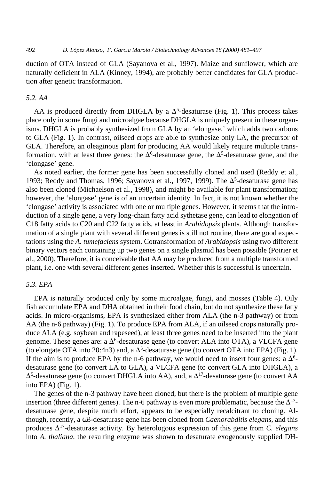duction of OTA instead of GLA (Sayanova et al., 1997). Maize and sunflower, which are naturally deficient in ALA (Kinney, 1994), are probably better candidates for GLA production after genetic transformation.

# *5.2. AA*

AA is produced directly from DHGLA by a  $\Delta^5$ -desaturase (Fig. 1). This process takes place only in some fungi and microalgae because DHGLA is uniquely present in these organisms. DHGLA is probably synthesized from GLA by an 'elongase,' which adds two carbons to GLA (Fig. 1). In contrast, oilseed crops are able to synthesize only LA, the precursor of GLA. Therefore, an oleaginous plant for producing AA would likely require multiple transformation, with at least three genes: the  $\Delta^6$ -desaturase gene, the  $\Delta^5$ -desaturase gene, and the 'elongase' gene.

As noted earlier, the former gene has been successfully cloned and used (Reddy et al., 1993; Reddy and Thomas, 1996; Sayanova et al., 1997, 1999). The  $\Delta^5$ -desaturase gene has also been cloned (Michaelson et al., 1998), and might be available for plant transformation; however, the 'elongase' gene is of an uncertain identity. In fact, it is not known whether the 'elongase' activity is associated with one or multiple genes. However, it seems that the introduction of a single gene, a very long-chain fatty acid sythetase gene, can lead to elongation of C18 fatty acids to C20 and C22 fatty acids, at least in *Arabidopsis* plants. Although transformation of a single plant with several different genes is still not routine, there are good expectations using the *A. tumefaciens* system. Cotransformation of *Arabidopsis* using two different binary vectors each containing up two genes on a single plasmid has been possible (Poirier et al., 2000). Therefore, it is conceivable that AA may be produced from a multiple transformed plant, i.e. one with several different genes inserted. Whether this is successful is uncertain.

## *5.3. EPA*

EPA is naturally produced only by some microalgae, fungi, and mosses (Table 4). Oily fish accumulate EPA and DHA obtained in their food chain, but do not synthesize these fatty acids. In micro-organisms, EPA is synthesized either from ALA (the n-3 pathway) or from AA (the n-6 pathway) (Fig. 1). To produce EPA from ALA, if an oilseed crops naturally produce ALA (e.g. soybean and rapeseed), at least three genes need to be inserted into the plant genome. These genes are: a  $\Delta^6$ -desaturase gene (to convert ALA into OTA), a VLCFA gene (to elongate OTA into 20:4n3) and, a  $\Delta^5$ -desaturase gene (to convert OTA into EPA) (Fig. 1). If the aim is to produce EPA by the n-6 pathway, we would need to insert four genes: a  $\Delta^{6}$ desaturase gene (to convert LA to GLA), a VLCFA gene (to convert GLA into DHGLA), a  $\Delta^5$ -desaturase gene (to convert DHGLA into AA), and, a  $\Delta^{17}$ -desaturase gene (to convert AA into EPA) (Fig. 1).

The genes of the n-3 pathway have been cloned, but there is the problem of multiple gene insertion (three different genes). The n-6 pathway is even more problematic, because the  $\Delta^{17}$ desaturase gene, despite much effort, appears to be especially recalcitrant to cloning. Although, recently, a ω3-desaturase gene has been cloned from *Caenorabditis elegans*, and this produces  $\Delta^{17}$ -desaturase activity. By heterologous expression of this gene from *C. elegans* into *A. thaliana*, the resulting enzyme was shown to desaturate exogenously supplied DH-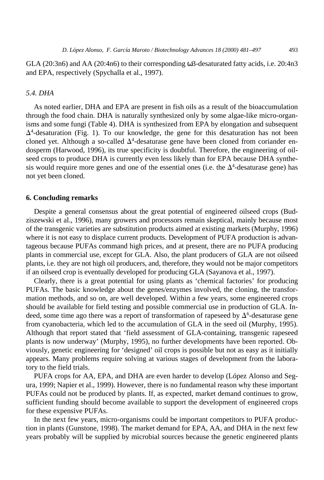GLA (20:3n6) and AA (20:4n6) to their corresponding ω3-desaturated fatty acids, i.e. 20:4n3 and EPA, respectively (Spychalla et al., 1997).

# *5.4. DHA*

As noted earlier, DHA and EPA are present in fish oils as a result of the bioaccumulation through the food chain. DHA is naturally synthesized only by some algae-like micro-organisms and some fungi (Table 4). DHA is synthesized from EPA by elongation and subsequent  $\Delta^4$ -desaturation (Fig. 1). To our knowledge, the gene for this desaturation has not been cloned yet. Although a so-called  $\Delta^4$ -desaturase gene have been cloned from coriander endosperm (Harwood, 1996), its true specificity is doubtful. Therefore, the engineering of oilseed crops to produce DHA is currently even less likely than for EPA because DHA synthesis would require more genes and one of the essential ones (i.e. the  $\Delta^4$ -desaturase gene) has not yet been cloned.

## **6. Concluding remarks**

Despite a general consensus about the great potential of engineered oilseed crops (Budziszewski et al., 1996), many growers and processors remain skeptical, mainly because most of the transgenic varieties are substitution products aimed at existing markets (Murphy, 1996) where it is not easy to displace current products. Development of PUFA production is advantageous because PUFAs command high prices, and at present, there are no PUFA producing plants in commercial use, except for GLA. Also, the plant producers of GLA are not oilseed plants, i.e. they are not high oil producers, and, therefore, they would not be major competitors if an oilseed crop is eventually developed for producing GLA (Sayanova et al., 1997).

Clearly, there is a great potential for using plants as 'chemical factories' for producing PUFAs. The basic knowledge about the genes/enzymes involved, the cloning, the transformation methods, and so on, are well developed. Within a few years, some engineered crops should be available for field testing and possible commercial use in production of GLA. Indeed, some time ago there was a report of transformation of rapeseed by  $\Delta^6$ -desaturase gene from cyanobacteria, which led to the accumulation of GLA in the seed oil (Murphy, 1995). Although that report stated that 'field assessment of GLA-containing, transgenic rapeseed plants is now underway' (Murphy, 1995), no further developments have been reported. Obviously, genetic engineering for 'designed' oil crops is possible but not as easy as it initially appears. Many problems require solving at various stages of development from the laboratory to the field trials.

PUFA crops for AA, EPA, and DHA are even harder to develop (López Alonso and Segura, 1999; Napier et al., 1999). However, there is no fundamental reason why these important PUFAs could not be produced by plants. If, as expected, market demand continues to grow, sufficient funding should become available to support the development of engineered crops for these expensive PUFAs.

In the next few years, micro-organisms could be important competitors to PUFA production in plants (Gunstone, 1998). The market demand for EPA, AA, and DHA in the next few years probably will be supplied by microbial sources because the genetic engineered plants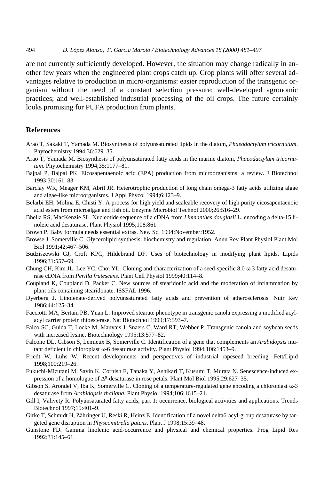are not currently sufficiently developed. However, the situation may change radically in another few years when the engineered plant crops catch up. Crop plants will offer several advantages relative to production in micro-organisms: easier reproduction of the transgenic organism without the need of a constant selection pressure; well-developed agronomic practices; and well-established industrial processing of the oil crops. The future certainly looks promising for PUFA production from plants.

# **References**

- Arao T, Sakaki T, Yamada M. Biosynthesis of polyunsaturated lipids in the diatom, *Phaeodactylum tricornutum*. Phytochemistry 1994;36:629–35.
- Arao T, Yamada M. Biosynthesis of polyunsaturated fatty acids in the marine diatom, *Phaeodactylum tricornutum*. Phytochemistry 1994;35:1177–81.
- Bajpai P, Bajpai PK. Eicosapentaenoic acid (EPA) production from microorganisms: a review. J Biotechnol 1993;30:161–83.
- Barclay WR, Meager KM, Abril JR. Heterotrophic production of long chain omega-3 fatty acids utilizing algae and algae-like microorganisms. J Appl Phycol 1994;6:123–9.
- Belarbi EH, Molina E, Chisti Y. A process for high yield and scaleable recovery of high purity eicosapentaenoic acid esters from microalgae and fish oil. Enzyme Microbiol Technol 2000;26:516–29.
- Bhella RS, MacKenzie SL. Nucleotide sequence of a cDNA from *Limnanthes douglasii* L. encoding a delta-15 linoleic acid desaturase. Plant Physiol 1995;108:861.
- Brown P. Baby formula needs essential extras. New Sci 1994;November:1952.
- Browse J, Somerville C. Glycerolipid synthesis: biochemistry and regulation. Annu Rev Plant Physiol Plant Mol Biol 1991;42:467–506.
- Budziszewski GJ, Croft KPC, Hildebrand DF. Uses of biotechnology in modifying plant lipids. Lipids 1996;31:557–69.
- Chung CH, Kim JL, Lee YC, Choi YL. Cloning and characterization of a seed-specific 8.0 ω-3 fatty acid desaturase cDNA from *Perilla frutescens*. Plant Cell Physiol 1999;40:114–8.
- Coupland K, Coupland D, Packer C. New sources of stearidonic acid and the moderation of inflammation by plant oils containing stearidonate. ISSFAL 1996.
- Dyerberg J. Linolenate-derived polyunsaturated fatty acids and prevention of atherosclerosis. Nutr Rev 1986;44:125–34.
- Facciotti MA, Bertain PB, Yuan L. Improved stearate phenotype in transgenic canola expressing a modified acylacyl carrier protein thioesterase. Nat Biotechnol 1999;17:593–7.
- Falco SC, Guida T, Locke M, Mauvais J, Snaers C, Ward RT, Webber P. Transgenic canola and soybean seeds with increased lysine. Biotechnology 1995;13:577–82.
- Falcone DL, Gibson S, Lemieux B, Somerville C. Identification of a gene that complements an *Arabidopsis* mutant deficient in chloroplast ω-6 desaturase activity. Plant Physiol 1994;106:1453–9.
- Friedt W, Lühs W. Recent developments and perspectives of industrial rapeseed breeding. Fett/Lipid 1998;100:219–26.
- Fukuchi-Mizutani M, Savin K, Cornish E, Tanaka Y, Ashikari T, Kusumi T, Murata N. Senescence-induced expression of a homologue of  $\Delta^9$ -desaturase in rose petals. Plant Mol Biol 1995;29:627–35.
- Gibson S, Arondel V, Iba K, Somerville C. Cloning of a temperature-regulated gene encoding a chloroplast ω-3 desaturase from *Arabidopsis thaliana*. Plant Physiol 1994;106:1615–21.
- Gill I, Valivety R. Polyunsaturated fatty acids, part 1: occurrence, biological activities and applications. Trends Biotechnol 1997;15:401–9.
- Girke T, Schmidt H, Zähringer U, Reski R, Heinz E. Identification of a novel delta6-acyl-group desaturase by targeted gene disruption in *Physcomitrella patens*. Plant J 1998;15:39–48.
- Gunstone FD. Gamma linolenic acid-occurrence and physical and chemical properties. Prog Lipid Res 1992;31:145–61.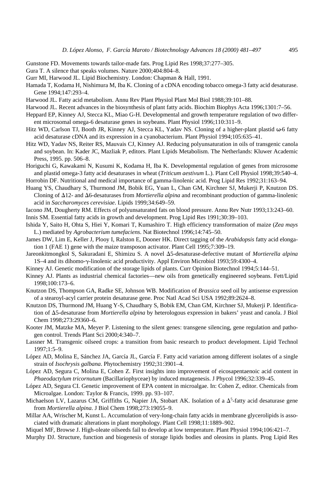- Gunstone FD. Movements towards tailor-made fats. Prog Lipid Res 1998;37:277–305.
- Gura T. A silence that speaks volumes. Nature 2000;404:804–8.
- Gurr MI, Harwood JL. Lipid Biochemistry. London: Chapman & Hall, 1991.
- Hamada T, Kodama H, Nishimura M, Iba K. Cloning of a cDNA encoding tobacco omega-3 fatty acid desaturase. Gene 1994;147:293–4.
- Harwood JL. Fatty acid metabolism. Annu Rev Plant Physiol Plant Mol Biol 1988;39:101–88.
- Harwood JL. Recent advances in the biosynthesis of plant fatty acids. Biochim Biophys Acta 1996;1301:7–56.
- Heppard EP, Kinney AJ, Stecca KL, Miao G-H. Developmental and growth temperature regulation of two different microsomal omega-6 desaturase genes in soybeans. Plant Physiol 1996;110:311–9.
- Hitz WD, Carlson TJ, Booth JR, Kinney AJ, Stecca KL, Yadav NS. Cloning of a higher-plant plastid ω-6 fatty acid desaturase cDNA and its expression in a cyanobacterium. Plant Physiol 1994;105:635–41.
- Hitz WD, Yadav NS, Reiter RS, Mauvais CJ, Kinney AJ. Reducing polyunsaturation in oils of transgenic canola and soybean. In: Kader JC, Mazliak P, editors. Plant Lipids Metabolism. The Netherlands: Kluwer Academic Press, 1995. pp. 506–8.
- Horiguchi G, Kawakami N, Kusumi K, Kodama H, Iba K. Developmental regulation of genes from microsome and plastid omega-3 fatty acid desaturases in wheat (*Triticum aestivum* L.). Plant Cell Physiol 1998;39:540–4. Horrobin DF. Nutritional and medical importance of gamma-linolenic acid. Prog Lipid Res 1992;31:163–94.
- 
- Huang YS, Chaudhary S, Thurmond JM, Bobik EG, Yuan L, Chan GM, Kirchner SJ, Mukerji P, Knutzon DS. Cloning of  $\Delta$ 12- and  $\Delta$ 6-desaturases from *Mortierella alpina* and recombinant production of gamma-linolenic acid in *Saccharomyces cerevisiae*. Lipids 1999;34:649–59.
- Iacono JM, Dougherty RM. Effects of polyunsaturated fats on blood pressure. Annu Rev Nutr 1993;13:243–60.
- Innis SM. Essential fatty acids in growth and development. Prog Lipid Res 1991;30:39–103.
- Ishida Y, Saito H, Ohta S, Hiei Y, Komari T, Kumashiro T. High efficiency transformation of maize (*Zea mays* L.) mediated by *Agrobacterium tumefaciens*. Nat Biotechnol 1996;14:745–50.
- James DW, Lim E, Keller J, Plooy I, Ralston E, Dooner HK. Direct tagging of the *Arabidopsis* fatty acid elongation 1 (FAE 1) gene with the maize transposon activator. Plant Cell 1995;7:309–19.
- Jareonkitmongkol S, Sakuradani E, Shimizu S. A novel  $\Delta$ 5-desaturase-defective mutant of *Mortierella alpina* 1S–4 and its dihomo-g-linolenic acid productivity. Appl Environ Microbiol 1993;59:4300–4.
- Kinney AJ. Genetic modification of the storage lipids of plants. Curr Opinion Biotechnol 1994;5:144–51.
- Kinney AJ. Plants as industrial chemical factories—new oils from genetically engineered soybeans. Fett/Lipid 1998;100:173–6.
- Knutzon DS, Thompson GA, Radke SE, Johnson WB. Modification of *Brassica* seed oil by antisense expression of a stearoyl-acyl carrier protein desaturase gene. Proc Natl Acad Sci USA 1992;89:2624–8.
- Knutzon DS, Thurmond JM, Huang Y-S, Chaudhary S, Bobik EM, Chan GM, Kirchner SJ, Mukerji P. Identification of D5-desaturase from *Mortierella alpina* by heterologous expression in bakers' yeast and canola. J Biol Chem 1998;273:29360–6.
- Kooter JM, Matzke MA, Meyer P. Listening to the silent genes: transgene silencing, gene regulation and pathogen control. Trends Plant Sci 2000;4:340–7.
- Lassner M. Transgenic oilseed crops: a transition from basic research to product development. Lipid Technol 1997;1:5–9.
- López AD, Molina E, Sánchez JA, García JL, García F. Fatty acid variation among different isolates of a single strain of *Isochrysis galbana*. Phytochemistry 1992;31:3901–4.
- López AD, Segura C, Molina E, Cohen Z. First insights into improvement of eicosapentaenoic acid content in *Phaeodactylum tricornutum* (Bacillariophyceae) by induced mutagenesis. J Phycol 1996;32:339–45.
- López AD, Segura CI. Genetic improvement of EPA content in microalgae. In: Cohen Z, editor. Chemicals from Microalgae. London: Taylor & Francis, 1999. pp. 93–107.
- Michaelson LV, Lazarus CM, Griffiths G, Napier JA, Stobart AK. Isolation of a  $\Delta^5$ -fatty acid desaturase gene from *Mortierella alpina*. J Biol Chem 1998;273:19055–9.
- Millar AA, Wrischer M, Kunst L. Accumulation of very-long-chain fatty acids in membrane glycerolipids is associated with dramatic alterations in plant morphology. Plant Cell 1998;11:1889–902.
- Miquel MF, Browse J. High-oleate oilseeds fail to develop at low temperature. Plant Physiol 1994;106:421–7.
- Murphy DJ. Structure, function and biogenesis of storage lipids bodies and oleosins in plants. Prog Lipid Res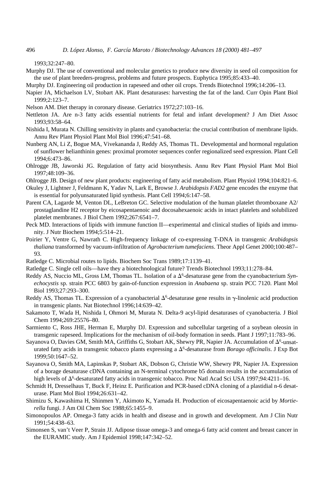1993;32:247–80.

Murphy DJ. The use of conventional and molecular genetics to produce new diversity in seed oil composition for the use of plant breeders-progress, problems and future prospects. Euphytica 1995;85:433–40.

Murphy DJ. Engineering oil production in rapeseed and other oil crops. Trends Biotechnol 1996;14:206–13.

- Napier JA, Michaelson LV, Stobart AK. Plant desaturases: harvesting the fat of the land. Curr Opin Plant Biol 1999;2:123–7.
- Nelson AM. Diet therapy in coronary disease. Geriatrics 1972;27:103–16.
- Nettleton JA. Are n-3 fatty acids essential nutrients for fetal and infant development? J Am Diet Assoc 1993;93:58–64.
- Nishida I, Murata N. Chilling sensitivity in plants and cyanobacteria: the crucial contribution of membrane lipids. Annu Rev Plant Physiol Plant Mol Biol 1996;47:541–68.
- Nunberg AN, Li Z, Bogue MA, Vivekananda J, Reddy AS, Thomas TL. Developmental and hormonal regulation of sunflower helianthinin genes: proximal promoter sequences confer regionalized seed expression. Plant Cell 1994;6:473–86.
- Ohlrogge JB, Jaworski JG. Regulation of fatty acid biosynthesis. Annu Rev Plant Physiol Plant Mol Biol 1997;48:109–36.

Ohlrogge JB. Design of new plant products: engineering of fatty acid metabolism. Plant Physiol 1994;104:821–6.

- Okuley J, Lightner J, Feldmann K, Yadav N, Lark E, Browse J. *Arabidopsis FAD2* gene encodes the enzyme that is essential for polyunsaturated lipid synthesis. Plant Cell 1994;6:147–58.
- Parent CA, Lagarde M, Venton DL, LeBreton GC. Selective modulation of the human platelet thromboxane A2/ prostaglandine H2 receptor by eicosapentaenoic and docosahexaenoic acids in intact platelets and solubilized platelet membranes. J Biol Chem 1992;267:6541–7.
- Peck MD. Interactions of lipids with immune function II—experimental and clinical studies of lipids and immunity. J Nutr Biochem 1994;5:514–21.
- Poirier Y, Ventre G, Nawrath C. High-frequency linkage of co-expressing T-DNA in transgenic *Arabidopsis thaliana* transformed by vacuum-infiltration of *Agrobacterium tumefaciens*. Theor Appl Genet 2000;100:487– 93.
- Ratledge C. Microbial routes to lipids. Biochem Soc Trans 1989;17:1139–41.
- Ratledge C. Single cell oils—have they a biotechnological future? Trends Biotechnol 1993;11:278–84.
- Reddy AS, Nuccio ML, Gross LM, Thomas TL. Isolation of a  $\Delta^6$ -desaturase gene from the cyanobacterium Syn*echocystis* sp. strain PCC 6803 by gain-of-function expression in *Anabaena* sp. strain PCC 7120. Plant Mol Biol 1993;27:293–300.
- Reddy AS, Thomas TL. Expression of a cyanobacterial  $\Delta^6$ -desaturase gene results in  $\gamma$ -linolenic acid production in transgenic plants. Nat Biotechnol 1996;14:639–42.
- Sakamoto T, Wada H, Nishida I, Ohmori M, Murata N. Delta-9 acyl-lipid desaturases of cyanobacteria. J Biol Chem 1994;269:25576–80.
- Sarmiento C, Ross JHE, Herman E, Murphy DJ. Expression and subcellular targeting of a soybean oleosin in transgenic rapeseed. Implications for the mechanism of oil-body formation in seeds. Plant J 1997;11:783–96.
- Sayanova O, Davies GM, Smith MA, Griffiths G, Stobart AK, Shewry PR, Napier JA. Accumulation of  $\Delta^6$ -unsaturated fatty acids in transgenic tobacco plants expressing a  $\Delta^6$ -desaturase from *Borago officinalis*. J Exp Bot 1999;50:1647–52.
- Sayanova O, Smith MA, Lapinskas P, Stobart AK, Dobson G, Christie WW, Shewry PR, Napier JA. Expression of a borage desaturase cDNA containing an N-terminal cytochrome b5 domain results in the accumulation of high levels of  $\Delta^6$ -desaturated fatty acids in transgenic tobacco. Proc Natl Acad Sci USA 1997;94:4211–16.
- Schmidt H, Dresselhaus T, Buck F, Heinz E. Purification and PCR-based cDNA cloning of a plastidial n-6 desaturase. Plant Mol Biol 1994;26:631–42.
- Shimizu S, Kawashima H, Shinmen Y, Akimoto K, Yamada H. Production of eicosapentaenoic acid by *Mortierella* fungi. J Am Oil Chem Soc 1988;65:1455–9.
- Simonopoulos AP. Omega-3 fatty acids in health and disease and in growth and development. Am J Clin Nutr 1991;54:438–63.
- Simonsen S, van't Veer P, Strain JJ. Adipose tissue omega-3 and omega-6 fatty acid content and breast cancer in the EURAMIC study. Am J Epidemiol 1998;147:342–52.